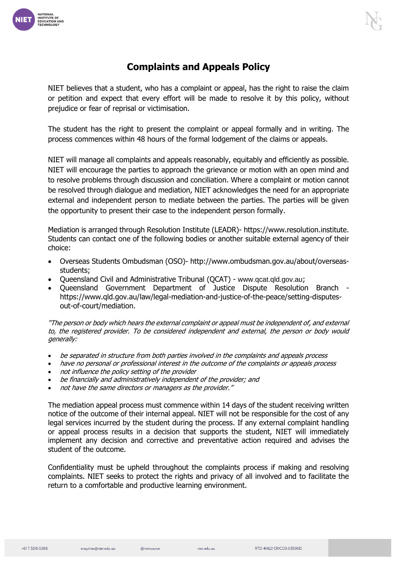

## **Complaints and Appeals Policy**

NIET believes that a student, who has a complaint or appeal, has the right to raise the claim or petition and expect that every effort will be made to resolve it by this policy, without prejudice or fear of reprisal or victimisation.

The student has the right to present the complaint or appeal formally and in writing. The process commences within 48 hours of the formal lodgement of the claims or appeals.

NIET will manage all complaints and appeals reasonably, equitably and efficiently as possible. NIET will encourage the parties to approach the grievance or motion with an open mind and to resolve problems through discussion and conciliation. Where a complaint or motion cannot be resolved through dialogue and mediation, NIET acknowledges the need for an appropriate external and independent person to mediate between the parties. The parties will be given the opportunity to present their case to the independent person formally.

Mediation is arranged through Resolution Institute (LEADR)- https://www.resolution.institute. Students can contact one of the following bodies or another suitable external agency of their choice:

- Overseas Students Ombudsman (OSO)- http://www.ombudsman.gov.au/about/overseasstudents;
- Queensland Civil and Administrative Tribunal (QCAT) www.qcat.qld.gov.au;
- Queensland Government Department of Justice Dispute Resolution Branch https://www.qld.gov.au/law/legal-mediation-and-justice-of-the-peace/setting-disputesout-of-court/mediation.

"The person or body which hears the external complaint or appeal must be independent of, and external to, the registered provider. To be considered independent and external, the person or body would generally:

- be separated in structure from both parties involved in the complaints and appeals process
- have no personal or professional interest in the outcome of the complaints or appeals process
- not influence the policy setting of the provider
- be financially and administratively independent of the provider; and
- not have the same directors or managers as the provider."

The mediation appeal process must commence within 14 days of the student receiving written notice of the outcome of their internal appeal. NIET will not be responsible for the cost of any legal services incurred by the student during the process. If any external complaint handling or appeal process results in a decision that supports the student, NIET will immediately implement any decision and corrective and preventative action required and advises the student of the outcome.

Confidentiality must be upheld throughout the complaints process if making and resolving complaints. NIET seeks to protect the rights and privacy of all involved and to facilitate the return to a comfortable and productive learning environment.